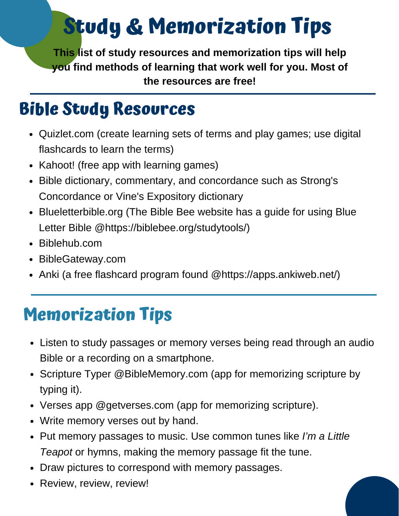# **Study & Memorization Tips**

**This list of study resources and memorization tips will help you find methods of learning that work well for you. Most of the resources are free!**

#### **Bible Study Resources**

- Quizlet.com (create learning sets of terms and play games; use digital flashcards to learn the terms)
- Kahoot! (free app with learning games)
- Bible dictionary, commentary, and concordance such as Strong's Concordance or Vine's Expository dictionary
- Blueletterbible.org (The Bible Bee website has a guide for using Blue Letter Bible @https://biblebee.org/studytools/)
- Biblehub.com
- BibleGateway.com
- Anki (a free flashcard program found @https://apps.ankiweb.net/)

#### **Memorization Tips**

- Listen to study passages or memory verses being read through an audio Bible or a recording on a smartphone.
- Scripture Typer @BibleMemory.com (app for memorizing scripture by typing it).
- Verses app @getverses.com (app for memorizing scripture).
- Write memory verses out by hand.
- Put memory passages to music. Use common tunes like *I'm a Little Teapot* or hymns, making the memory passage fit the tune.
- Draw pictures to correspond with memory passages.
- Review, review, review!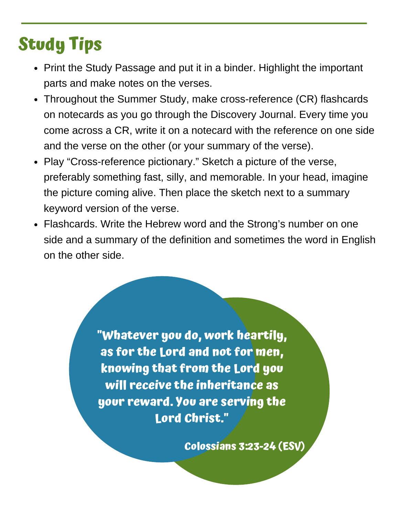### **Study Tips**

- Print the Study Passage and put it in a binder. Highlight the important parts and make notes on the verses.
- Throughout the Summer Study, make cross-reference (CR) flashcards on notecards as you go through the Discovery Journal. Every time you come across a CR, write it on a notecard with the reference on one side and the verse on the other (or your summary of the verse).
- Play "Cross-reference pictionary." Sketch a picture of the verse, preferably something fast, silly, and memorable. In your head, imagine the picture coming alive. Then place the sketch next to a summary keyword version of the verse.
- Flashcards. Write the Hebrew word and the Strong's number on one side and a summary of the definition and sometimes the word in English on the other side.

**"Whatever you do, work heartily, as for the Lord and not for men, knowing that from the Lord you will receive the inheritance as your reward. You are serving the Lord Christ."**

**Colossians 3:23-24 (ESV)**